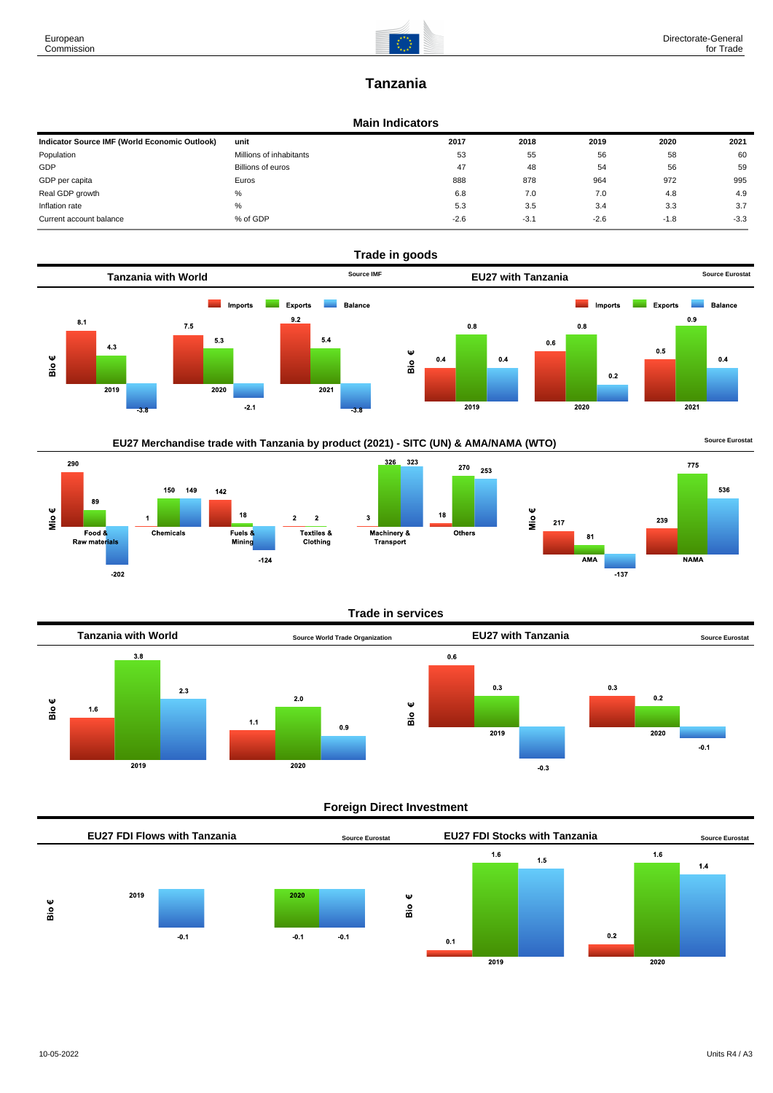

# **Tanzania**

### **Main Indicators**

| Indicator Source IMF (World Economic Outlook) | unit                    | 2017   | 2018   | 2019   | 2020   | 2021   |
|-----------------------------------------------|-------------------------|--------|--------|--------|--------|--------|
| Population                                    | Millions of inhabitants | 53     | 55     | 56     | 58     | 60     |
| GDP                                           | Billions of euros       | 47     | 48     | 54     | 56     | 59     |
| GDP per capita                                | Euros                   | 888    | 878    | 964    | 972    | 995    |
| Real GDP growth                               | %                       | 6.8    | 7.0    | 7.0    | 4.8    | 4.9    |
| Inflation rate                                | %                       | 5.3    | 3.5    | 3.4    | 3.3    | 3.7    |
| Current account balance                       | % of GDP                | $-2.6$ | $-3.1$ | $-2.6$ | $-1.8$ | $-3.3$ |



270 253









## **Trade in services**



## **Foreign Direct Investment**